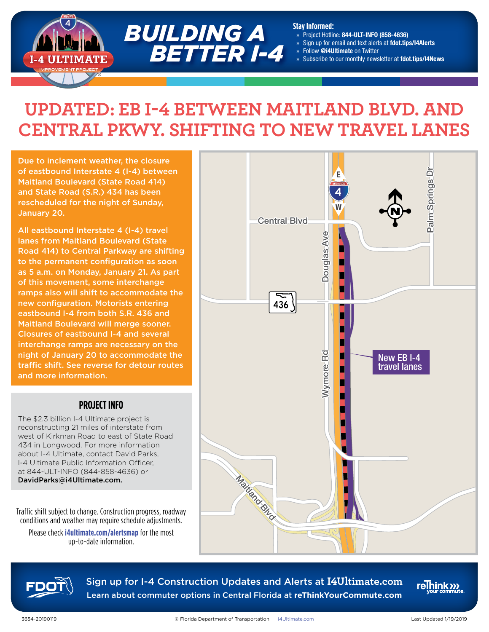

#### **Stay Informed:**

- » Project Hotline: 844-ULT-INFO (858-4636)
- Sign up for email and text alerts at fdot.tips/I4Alerts
- » Follow @i4Ultimate on Twitter
- » Subscribe to our monthly newsletter at fdot.tips/I4News

# **UPDATED: EB I-4 BETWEEN MAITLAND BLVD. AND CENTRAL PKWY. SHIFTING TO NEW TRAVEL LANES**

Due to inclement weather, the closure of eastbound Interstate 4 (I-4) between Maitland Boulevard (State Road 414) and State Road (S.R.) 434 has been rescheduled for the night of Sunday, January 20.

All eastbound Interstate 4 (I-4) travel lanes from Maitland Boulevard (State Road 414) to Central Parkway are shifting to the permanent configuration as soon as 5 a.m. on Monday, January 21. As part of this movement, some interchange ramps also will shift to accommodate the new configuration. Motorists entering eastbound I-4 from both S.R. 436 and Maitland Boulevard will merge sooner. Closures of eastbound I-4 and several interchange ramps are necessary on the night of January 20 to accommodate the traffic shift. See reverse for detour routes and more information.

### **PROJECT INFO**

The \$2.3 billion I-4 Ultimate project is reconstructing 21 miles of interstate from west of Kirkman Road to east of State Road 434 in Longwood. For more information about I-4 Ultimate, contact David Parks, I-4 Ultimate Public Information Officer, at 844-ULT-INFO (844-858-4636) or DavidParks@i4Ultimate.com.

Traffic shift subject to change. Construction progress, roadway conditions and weather may require schedule adjustments.

Please check **[i4ultimate.com/alertsmap](http://i4ultimate.com/alertsmap)** for the most up-to-date information.





Sign up for I-4 Construction Updates and Alerts at **I4Ultimate.com** Learn about commuter options in Central Florida at **reThinkYourCommute.com**